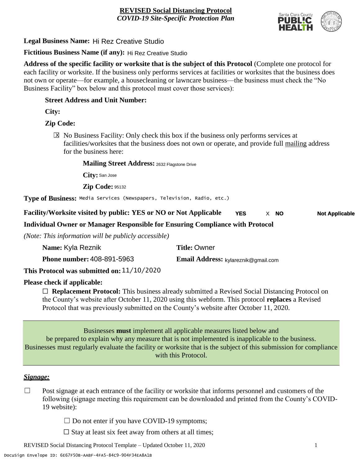

# **Legal Business Name:** Hi Rez Creative Studio

**Fictitious Business Name (if any):** Hi Rez Creative Studio

**Address of the specific facility or worksite that is the subject of this Protocol** (Complete one protocol for each facility or worksite. If the business only performs services at facilities or worksites that the business does not own or operate—for example, a housecleaning or lawncare business—the business must check the "No Business Facility" box below and this protocol must cover those services):

### **Street Address and Unit Number:**

**City:**

## **Zip Code:**

 $\boxtimes$  No Business Facility: Only check this box if the business only performs services at facilities/worksites that the business does not own or operate, and provide full mailing address for the business here:

#### **Mailing Street Address:** 2632 Flagstone Drive

**City:** San Jose

**Zip Code:** 95132

**Type of Business:** Media Services (Newspapers, Television, Radio, etc.)

**Facility/Worksite visited by public: YES or NO or Not Applicable YES Not Applicable** X **NO**

## **Individual Owner or Manager Responsible for Ensuring Compliance with Protocol**

*(Note: This information will be publicly accessible)*

| Name: Kyla Reznik                            | <b>Title: Owner</b>                 |
|----------------------------------------------|-------------------------------------|
| <b>Phone number: 408-891-5963</b>            | Email Address: kylareznik@gmail.com |
| This Protocol was submitted on: $11/10/2020$ |                                     |

## **Please check if applicable:**

☐ **Replacement Protocol:** This business already submitted a Revised Social Distancing Protocol on the County's website after October 11, 2020 using this webform. This protocol **replaces** a Revised Protocol that was previously submitted on the County's website after October 11, 2020.

Businesses **must** implement all applicable measures listed below and be prepared to explain why any measure that is not implemented is inapplicable to the business. Businesses must regularly evaluate the facility or worksite that is the subject of this submission for compliance with this Protocol.

#### *Signage:*

- $\Box$  Post signage at each entrance of the facility or worksite that informs personnel and customers of the following (signage meeting this requirement can be downloaded and printed from the County's COVID-19 website):
	- $\Box$  Do not enter if you have COVID-19 symptoms;
	- $\Box$  Stay at least six feet away from others at all times;

REVISED Social Distancing Protocol Template – Updated October 11, 2020 1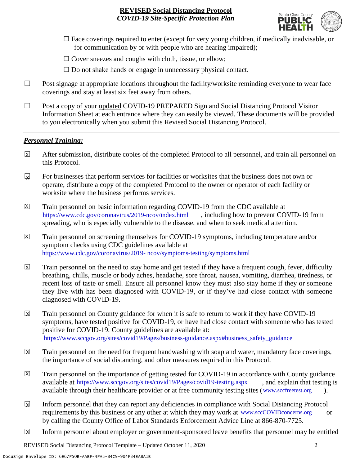

- $\Box$  Face coverings required to enter (except for very young children, if medically inadvisable, or for communication by or with people who are hearing impaired);
- $\Box$  Cover sneezes and coughs with cloth, tissue, or elbow;
- $\Box$  Do not shake hands or engage in unnecessary physical contact.
- □ Post signage at appropriate locations throughout the facility/worksite reminding everyone to wear face coverings and stay at least six feet away from others.
- ☐ Post a copy of your updated COVID-19 PREPARED Sign and Social Distancing Protocol Visitor Information Sheet at each entrance where they can easily be viewed. These documents will be provided to you electronically when you submit this Revised Social Distancing Protocol.

#### *Personnel Training:*

- After submission, distribute copies of the completed Protocol to all personnel, and train all personnel on this Protocol.  $\mathbf x$
- For businesses that perform services for facilities or worksites that the business does not own or operate, distribute a copy of the completed Protocol to the owner or operator of each facility or worksite where the business performs services.  $\mathbf{v}$
- Train personnel on basic information regarding COVID-19 from the CDC available at [https://www.cdc.gov/coronavirus/2019-ncov/index.html,](https://www.cdc.gov/coronavirus/2019-ncov/index.html) including how to prevent COVID-19 from spreading, who is especially vulnerable to the disease, and when to seek medical attention.  $\mathsf{X}$
- Train personnel on screening themselves for COVID-19 symptoms, including temperature and/or symptom checks using CDC guidelines available at [https://www.cdc.gov/coronavirus/2019-](https://www.cdc.gov/coronavirus/2019-ncov/symptoms-testing/symptoms.html) [ncov/symptoms-testing/symptoms.html.](https://www.cdc.gov/coronavirus/2019-ncov/symptoms-testing/symptoms.html) https://www.cdc.gov/coronavirus/2019- ncov/symptoms-testing/symptoms.html  $|\mathsf{X}|$
- Train personnel on the need to stay home and get tested if they have a frequent cough, fever, difficulty breathing, chills, muscle or body aches, headache, sore throat, nausea, vomiting, diarrhea, tiredness, or recent loss of taste or smell. Ensure all personnel know they must also stay home if they or someone they live with has been diagnosed with COVID-19, or if they've had close contact with someone diagnosed with COVID-19.  $\mathbf x$
- Train personnel on County guidance for when it is safe to return to work if they have COVID-19 symptoms, have tested positive for COVID-19, or have had close contact with someone who has tested positive for COVID-19. County guidelines are available at: [https://www.sccgov.org/sites/covid19/Pages/business-guidance.aspx#business\\_safety\\_guidance.](https://www.sccgov.org/sites/covid19/Pages/business-guidance.aspx#business_safety_guidance.) https://www.sccgov.org/sites/covid19/Pages/business-guidance.aspx#business\_safety\_guidance X
- Train personnel on the need for frequent handwashing with soap and water, mandatory face coverings, the importance of social distancing, and other measures required in this Protocol.  $\overline{\mathsf{x}}$
- Train personnel on the importance of getting tested for COVID-19 in accordance with County guidance available at [https://www.sccgov.org/sites/covid19/Pages/covid19-testing.aspx,](https://www.sccgov.org/sites/covid19/Pages/covid19-testing.aspx) and explain that testing is available through their healthcare provider or at free community testing sites [\(www.sccfreetest.org](http://www.sccfreetest.org/) ).  $\vert X \vert$
- Inform personnel that they can report any deficiencies in compliance with Social Distancing Protocol requirements by this business or any other at which they may work at [www.sccCOVIDconcerns.org](http://www.scccovidconcerns.org/) or by calling the County Office of Labor Standards Enforcement Advice Line at 866-870-7725.  $\overline{\mathbf{x}}$
- Inform personnel about employer or government-sponsored leave benefits that personnel may be entitled  $\boxtimes$

REVISED Social Distancing Protocol Template – Updated October 11, 2020 2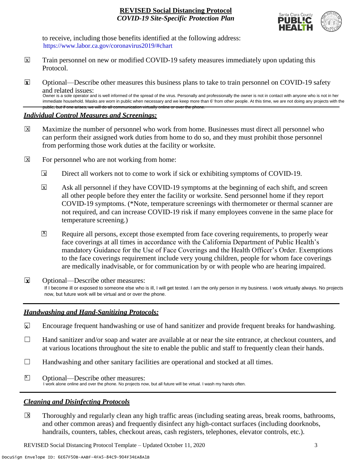

to receive, including those benefits identified at the following address: [https://www.labor.ca.gov/coronavirus2019/#chart.](https://www.labor.ca.gov/coronavirus2019/#chart) https://www.labor.ca.gov/coronavirus2019/#chart

public, but if one arises, we will do all communication virtually online or over the phone.

- Train personnel on new or modified COVID-19 safety measures immediately upon updating this Protocol.  $\boxtimes$
- ☐ Optional—Describe other measures this business plans to take to train personnel on COVID-19 safety and related issues: **X** Owner is a sole operator and is well informed of the spread of the virus. Personally and professionally the owner is not in contact with anyone who is not in her immediate household. Masks are worn in public when necessary and we keep more than 6' from other people. At this time, we are not doing any projects with the

### *Individual Control Measures and Screenings:*

- Maximize the number of personnel who work from home. Businesses must direct all personnel who can perform their assigned work duties from home to do so, and they must prohibit those personnel from performing those work duties at the facility or worksite.  $|\overline{X}|$
- For personnel who are not working from home:  $\boxtimes$ 
	- Direct all workers not to come to work if sick or exhibiting symptoms of COVID-19.  $\overline{\mathbf{x}}$
	- Ask all personnel if they have COVID-19 symptoms at the beginning of each shift, and screen all other people before they enter the facility or worksite. Send personnel home if they report COVID-19 symptoms. (\*Note, temperature screenings with thermometer or thermal scanner are not required, and can increase COVID-19 risk if many employees convene in the same place for temperature screening.)  $\overline{X}$
	- Require all persons, except those exempted from face covering requirements, to properly wear face coverings at all times in accordance with the California Department of Public Health's mandatory Guidance for the Use of Face Coverings and the Health Officer's Order. Exemptions to the face coverings requirement include very young children, people for whom face coverings are medically inadvisable, or for communication by or with people who are hearing impaired.  $\mathbf{X}$
- ☐ Optional—Describe other measures: If I become ill or exposed to someone else who is ill, I will get tested. I am the only person in my business. I work virtually always. No projects now, but future work will be virtual and or over the phone. **X**

## *Handwashing and Hand-Sanitizing Protocols:*

- Encourage frequent handwashing or use of hand sanitizer and provide frequent breaks for handwashing.  $\mathbf{x}$
- ☐ Hand sanitizer and/or soap and water are available at or near the site entrance, at checkout counters, and at various locations throughout the site to enable the public and staff to frequently clean their hands.
- $\Box$  Handwashing and other sanitary facilities are operational and stocked at all times.
- Optional—Describe other measures:  $\sum$ I work alone online and over the phone. No projects now, but all future will be virtual. I wash my hands often.

## *Cleaning and Disinfecting Protocols*

Thoroughly and regularly clean any high traffic areas (including seating areas, break rooms, bathrooms, and other common areas) and frequently disinfect any high-contact surfaces (including doorknobs, handrails, counters, tables, checkout areas, cash registers, telephones, elevator controls, etc.).  $\overline{X}$ 

REVISED Social Distancing Protocol Template – Updated October 11, 2020 3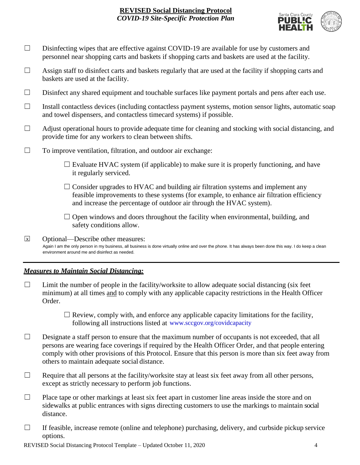

- □ Disinfecting wipes that are effective against COVID-19 are available for use by customers and personnel near shopping carts and baskets if shopping carts and baskets are used at the facility.
- $\Box$  Assign staff to disinfect carts and baskets regularly that are used at the facility if shopping carts and baskets are used at the facility.
- ☐ Disinfect any shared equipment and touchable surfaces like payment portals and pens after each use.
- ☐ Install contactless devices (including contactless payment systems, motion sensor lights, automatic soap and towel dispensers, and contactless timecard systems) if possible.
- $\Box$  Adjust operational hours to provide adequate time for cleaning and stocking with social distancing, and provide time for any workers to clean between shifts.
- $\Box$  To improve ventilation, filtration, and outdoor air exchange:
	- $\Box$  Evaluate HVAC system (if applicable) to make sure it is properly functioning, and have it regularly serviced.
	- $\Box$  Consider upgrades to HVAC and building air filtration systems and implement any feasible improvements to these systems (for example, to enhance air filtration efficiency and increase the percentage of outdoor air through the HVAC system).
	- $\Box$  Open windows and doors throughout the facility when environmental, building, and safety conditions allow.
- ☐ Optional—Describe other measures: Again I am the only person in my business, all business is done virtually online and over the phone. It has always been done this way. I do keep a clean environment around me and disinfect as needed. X

## *Measures to Maintain Social Distancing:*

- $\Box$  Limit the number of people in the facility/worksite to allow adequate social distancing (six feet minimum) at all times and to comply with any applicable capacity restrictions in the Health Officer Order.
	- $\Box$  Review, comply with, and enforce any applicable capacity limitations for the facility, following all instructions listed at www.sccgov.org/covidcapacity
- $\Box$  Designate a staff person to ensure that the maximum number of occupants is not exceeded, that all persons are wearing face coverings if required by the Health Officer Order, and that people entering comply with other provisions of this Protocol. Ensure that this person is more than six feet away from others to maintain adequate social distance.
- $\Box$  Require that all persons at the facility/worksite stay at least six feet away from all other persons, except as strictly necessary to perform job functions.
- $\Box$  Place tape or other markings at least six feet apart in customer line areas inside the store and on sidewalks at public entrances with signs directing customers to use the markings to maintain social distance.
- $\Box$  If feasible, increase remote (online and telephone) purchasing, delivery, and curbside pickup service options.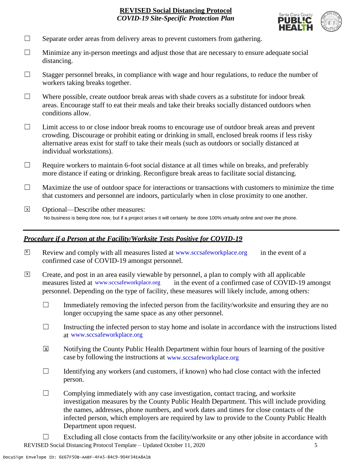

- $\Box$  Separate order areas from delivery areas to prevent customers from gathering.
- $\Box$  Minimize any in-person meetings and adjust those that are necessary to ensure adequate social distancing.
- $\Box$  Stagger personnel breaks, in compliance with wage and hour regulations, to reduce the number of workers taking breaks together.
- $\Box$  Where possible, create outdoor break areas with shade covers as a substitute for indoor break areas. Encourage staff to eat their meals and take their breaks socially distanced outdoors when conditions allow.
- ☐ Limit access to or close indoor break rooms to encourage use of outdoor break areas and prevent crowding. Discourage or prohibit eating or drinking in small, enclosed break rooms if less risky alternative areas exist for staff to take their meals (such as outdoors or socially distanced at individual workstations).
- $\Box$  Require workers to maintain 6-foot social distance at all times while on breaks, and preferably more distance if eating or drinking. Reconfigure break areas to facilitate social distancing.
- $\Box$  Maximize the use of outdoor space for interactions or transactions with customers to minimize the time that customers and personnel are indoors, particularly when in close proximity to one another.
- ☐ Optional—Describe other measures: No business is being done now, but if a project arises it will certainly be done 100% virtually online and over the phone.  $\overline{x}$

## *Procedure if a Person at the Facility/Worksite Tests Positive for COVID-19*

- $\boxtimes$  Review and comply with all measures listed at [www.sccsafeworkplace.org](http://www.sccsafeworkplace.org/) in the event of a confirmed case of COVID-19 amongst personnel.
- ☐ Create, and post in an area easily viewable by personnel, a plan to comply with all applicable in the event of a confirmed case of COVID-19 amongst personnel. Depending on the type of facility, these measures will likely include, among others: measures listed at www.sccsafeworkplace.org  $\overline{X}$ 
	- $\Box$  Immediately removing the infected person from the facility/worksite and ensuring they are no longer occupying the same space as any other personnel.
	- $\Box$  Instructing the infected person to stay home and isolate in accordance with the instructions listed at [www.sccsafeworkplace.org.](file:///C:/Users/raphael.rajendra/AppData/Local/Microsoft/Windows/INetCache/Content.Outlook/PTLHNOTE/www.sccsafeworkplace.org) www.sccsafeworkplace.org
	- Notifying the County Public Health Department within four hours of learning of the positive case by following the instructions at www.sccsafeworkplace.org  $\overline{X}$
	- $\Box$  Identifying any workers (and customers, if known) who had close contact with the infected person.
	- $\Box$  Complying immediately with any case investigation, contact tracing, and worksite investigation measures by the County Public Health Department. This will include providing the names, addresses, phone numbers, and work dates and times for close contacts of the infected person, which employers are required by law to provide to the County Public Health Department upon request.
- REVISED Social Distancing Protocol Template Updated October 11, 2020 5  $\Box$  Excluding all close contacts from the facility/worksite or any other jobsite in accordance with